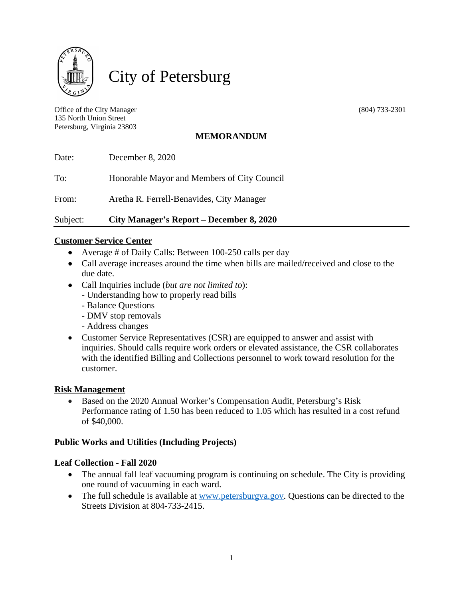

City of Petersburg

Office of the City Manager (804) 733-2301 135 North Union Street Petersburg, Virginia 23803

# **MEMORANDUM**

| Subject: | City Manager's Report – December 8, 2020    |
|----------|---------------------------------------------|
| From:    | Aretha R. Ferrell-Benavides, City Manager   |
| To:      | Honorable Mayor and Members of City Council |
| Date:    | December 8, 2020                            |

### **Customer Service Center**

- Average # of Daily Calls: Between 100-250 calls per day
- Call average increases around the time when bills are mailed/received and close to the due date.
- Call Inquiries include (*but are not limited to*):
	- Understanding how to properly read bills
	- Balance Questions
	- DMV stop removals
	- Address changes
- Customer Service Representatives (CSR) are equipped to answer and assist with inquiries. Should calls require work orders or elevated assistance, the CSR collaborates with the identified Billing and Collections personnel to work toward resolution for the customer.

#### **Risk Management**

• Based on the 2020 Annual Worker's Compensation Audit, Petersburg's Risk Performance rating of 1.50 has been reduced to 1.05 which has resulted in a cost refund of \$40,000.

#### **Public Works and Utilities (Including Projects)**

#### **Leaf Collection - Fall 2020**

- The annual fall leaf vacuuming program is continuing on schedule. The City is providing one round of vacuuming in each ward.
- The full schedule is available at [www.petersburgva.gov](http://www.petersburgva.gov). Questions can be directed to the Streets Division at 804-733-2415.